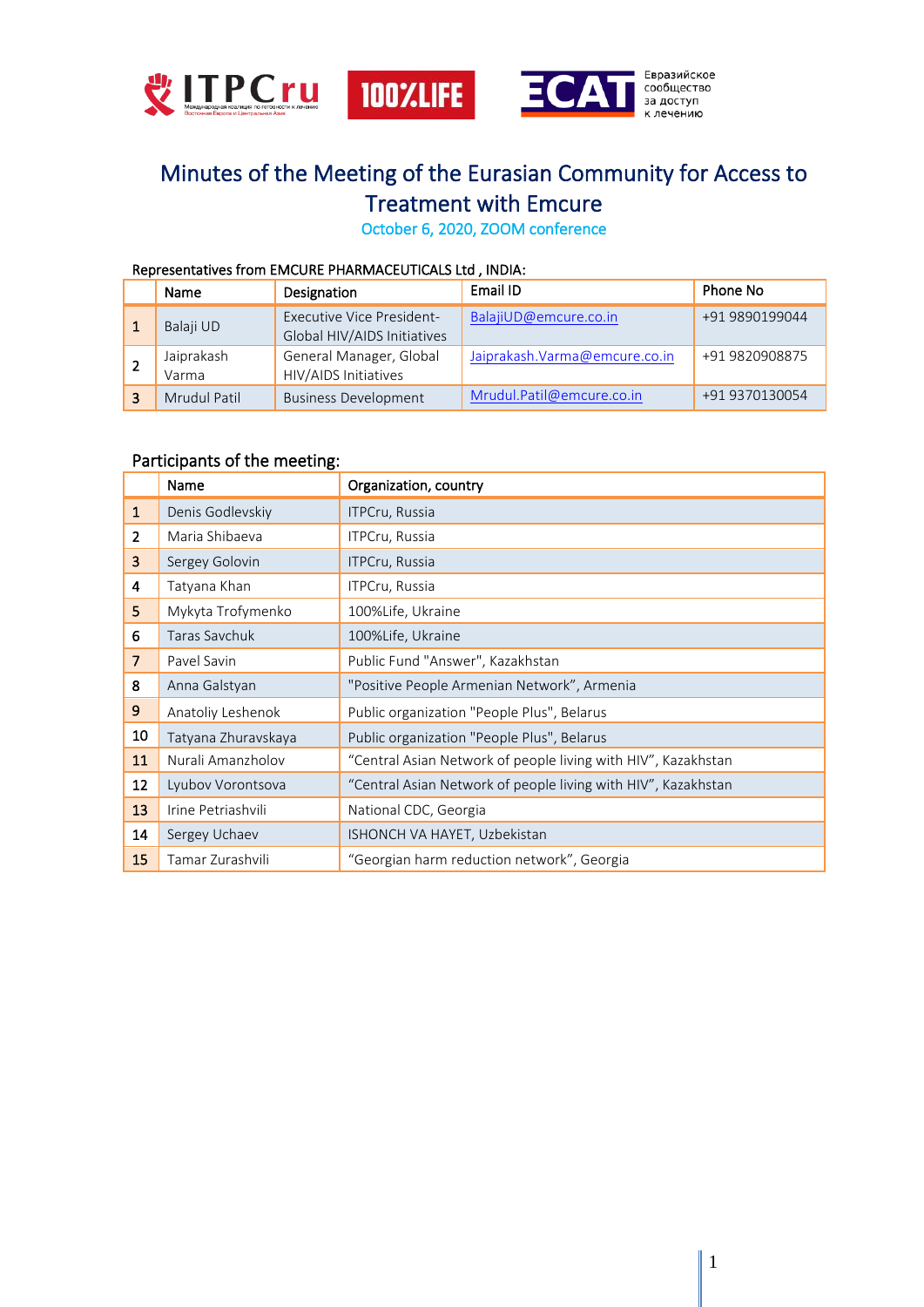



# Minutes of the Meeting of the Eurasian Community for Access to Treatment with Emcure

October 6, 2020, ZOOM conference

## Representatives from EMCURE PHARMACEUTICALS Ltd , INDIA:

| Name                | Designation                                                     | Email ID                       | Phone No       |
|---------------------|-----------------------------------------------------------------|--------------------------------|----------------|
| Balaji UD           | <b>Executive Vice President-</b><br>Global HIV/AIDS Initiatives | BalajiUD@emcure.co.in          | +91 9890199044 |
| Jaiprakash<br>Varma | General Manager, Global<br>HIV/AIDS Initiatives                 | Jaiprakash. Varma@emcure.co.in | +91 9820908875 |
| Mrudul Patil        | <b>Business Development</b>                                     | Mrudul.Patil@emcure.co.in      | +91 9370130054 |

## Participants of the meeting:

|                | Name                | Organization, country                                         |  |  |  |
|----------------|---------------------|---------------------------------------------------------------|--|--|--|
| $\mathbf{1}$   | Denis Godlevskiy    | <b>ITPCru, Russia</b>                                         |  |  |  |
| $\overline{2}$ | Maria Shibaeva      | ITPCru, Russia                                                |  |  |  |
| $\overline{3}$ | Sergey Golovin      | ITPCru, Russia                                                |  |  |  |
| 4              | Tatyana Khan        | ITPCru, Russia                                                |  |  |  |
| 5              | Mykyta Trofymenko   | 100%Life, Ukraine                                             |  |  |  |
| 6              | Taras Savchuk       | 100%Life, Ukraine                                             |  |  |  |
| $\overline{7}$ | Pavel Savin         | Public Fund "Answer", Kazakhstan                              |  |  |  |
| 8              | Anna Galstyan       | "Positive People Armenian Network", Armenia                   |  |  |  |
| 9              | Anatoliy Leshenok   | Public organization "People Plus", Belarus                    |  |  |  |
| 10             | Tatyana Zhuravskaya | Public organization "People Plus", Belarus                    |  |  |  |
| 11             | Nurali Amanzholov   | "Central Asian Network of people living with HIV", Kazakhstan |  |  |  |
| 12             | Lyubov Vorontsova   | "Central Asian Network of people living with HIV", Kazakhstan |  |  |  |
| 13             | Irine Petriashvili  | National CDC, Georgia                                         |  |  |  |
| 14             | Sergey Uchaev       | ISHONCH VA HAYET, Uzbekistan                                  |  |  |  |
| 15             | Tamar Zurashvili    | "Georgian harm reduction network", Georgia                    |  |  |  |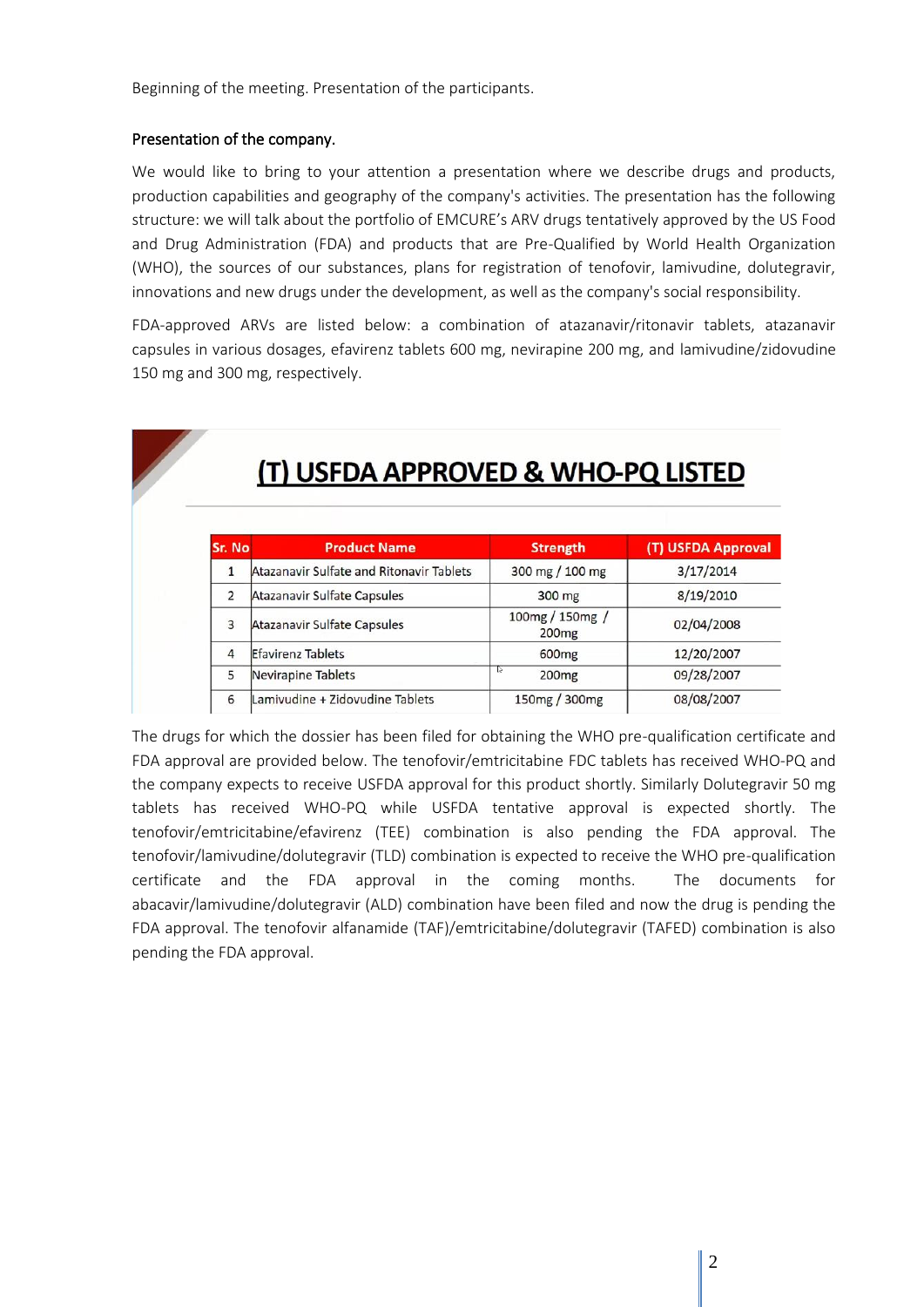Beginning of the meeting. Presentation of the participants.

## Presentation of the company.

We would like to bring to your attention a presentation where we describe drugs and products, production capabilities and geography of the company's activities. The presentation has the following structure: we will talk about the portfolio of EMCURE's ARV drugs tentatively approved by the US Food and Drug Administration (FDA) and products that are Pre-Qualified by World Health Organization (WHO), the sources of our substances, plans for registration of tenofovir, lamivudine, dolutegravir, innovations and new drugs under the development, as well as the company's social responsibility.

FDA-approved ARVs are listed below: a combination of atazanavir/ritonavir tablets, atazanavir capsules in various dosages, efavirenz tablets 600 mg, nevirapine 200 mg, and lamivudine/zidovudine 150 mg and 300 mg, respectively.

| Sr. No         | <b>Product Name</b>                      | <b>Strength</b>                      | (T) USFDA Approval |  |  |  |  |
|----------------|------------------------------------------|--------------------------------------|--------------------|--|--|--|--|
| 1              | Atazanavir Sulfate and Ritonavir Tablets | 300 mg / 100 mg                      | 3/17/2014          |  |  |  |  |
| 2              | Atazanavir Sulfate Capsules              | 300 mg                               | 8/19/2010          |  |  |  |  |
| 3              | Atazanavir Sulfate Capsules              | 100mg / 150mg /<br>200 <sub>mg</sub> | 02/04/2008         |  |  |  |  |
| $\overline{4}$ | Efavirenz Tablets                        | 600 <sub>mg</sub>                    | 12/20/2007         |  |  |  |  |
| 5              | Nevirapine Tablets                       | 200 <sub>mg</sub>                    | 09/28/2007         |  |  |  |  |
| 6              | Lamivudine + Zidovudine Tablets          | 150mg / 300mg                        | 08/08/2007         |  |  |  |  |

The drugs for which the dossier has been filed for obtaining the WHO pre-qualification certificate and FDA approval are provided below. The tenofovir/emtricitabine FDC tablets has received WHO-PQ and the company expects to receive USFDA approval for this product shortly. Similarly Dolutegravir 50 mg tablets has received WHO-PQ while USFDA tentative approval is expected shortly. The tenofovir/emtricitabine/efavirenz (TEE) combination is also pending the FDA approval. The tenofovir/lamivudine/dolutegravir (TLD) combination is expected to receive the WHO pre-qualification certificate and the FDA approval in the coming months. The documents for abacavir/lamivudine/dolutegravir (ALD) combination have been filed and now the drug is pending the FDA approval. The tenofovir alfanamide (TAF)/emtricitabine/dolutegravir (TAFED) combination is also pending the FDA approval.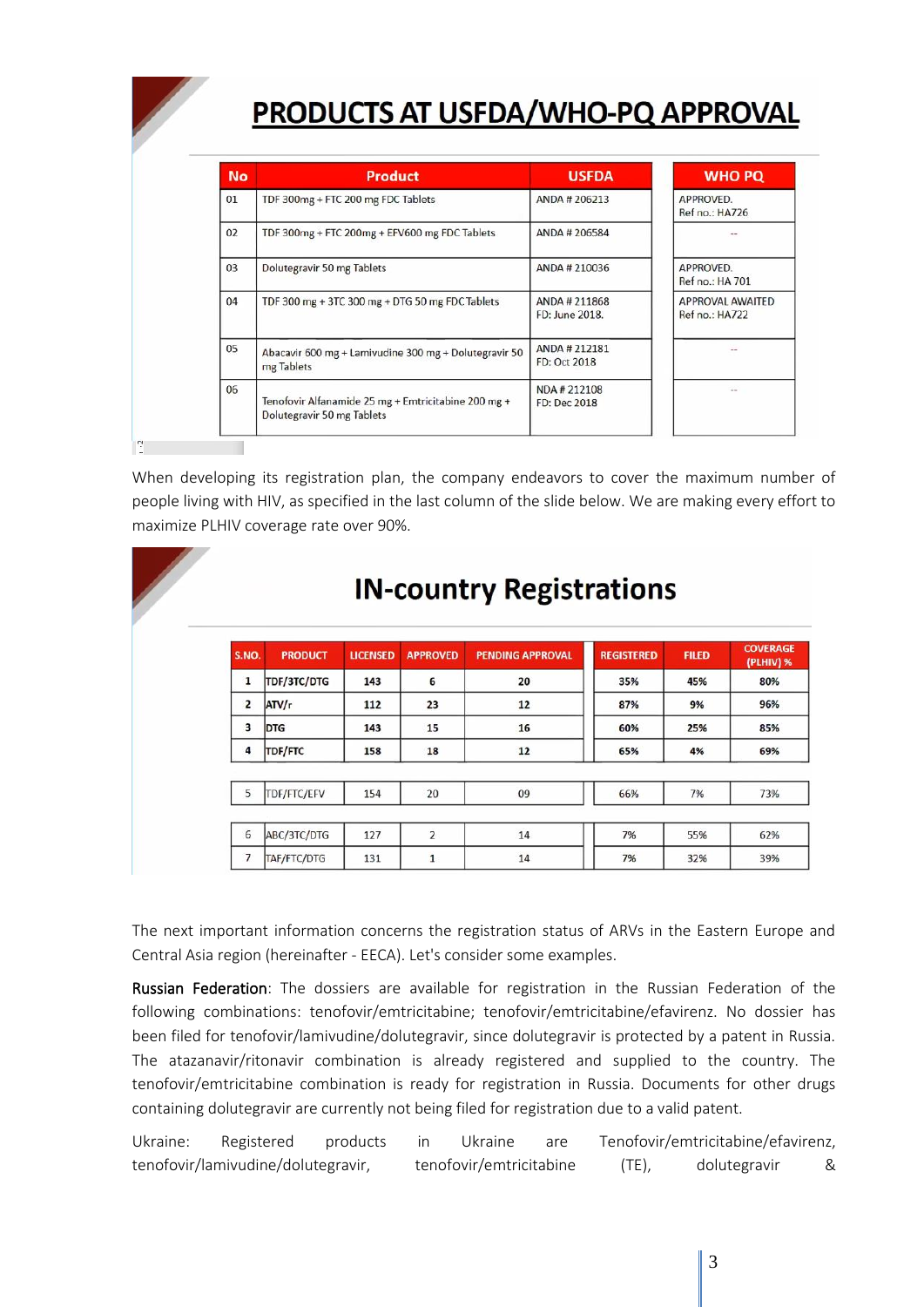# **PRODUCTS AT USFDA/WHO-PQ APPROVAL**

| <b>No</b> | Product                                                                           | <b>USFDA</b>                    | <b>WHO PQ</b>                      |
|-----------|-----------------------------------------------------------------------------------|---------------------------------|------------------------------------|
| 01        | TDF 300mg + FTC 200 mg FDC Tablets                                                | ANDA # 206213                   | APPROVED.<br>Ref no.: HA726        |
| 02        | TDF 300mg + FTC 200mg + EFV600 mg FDC Tablets<br>ANDA # 206584                    |                                 |                                    |
| 03        | Dolutegravir 50 mg Tablets                                                        | ANDA # 210036                   | APPROVED.<br>Ref no.: HA 701       |
| 04        | TDF 300 mg + 3TC 300 mg + DTG 50 mg FDC Tablets                                   | ANDA # 211868<br>FD: June 2018. | APPROVAL AWAITED<br>Ref no.: HA722 |
| 05        | Abacavir 600 mg + Lamivudine 300 mg + Dolutegravir 50<br>mg Tablets               | ANDA #212181<br>FD: Oct 2018    |                                    |
| 06        | Tenofovir Alfanamide 25 mg + Emtricitabine 200 mg +<br>Dolutegravir 50 mg Tablets | NDA #212108<br>FD: Dec 2018     | $\sim$                             |

When developing its registration plan, the company endeavors to cover the maximum number of people living with HIV, as specified in the last column of the slide below. We are making every effort to maximize PLHIV coverage rate over 90%.

| <b>S.NO.</b>            | <b>PRODUCT</b> | <b>LICENSED</b> | <b>APPROVED</b> | <b>PENDING APPROVAL</b> | <b>REGISTERED</b> | <b>FILED</b> |
|-------------------------|----------------|-----------------|-----------------|-------------------------|-------------------|--------------|
| 1                       | TDF/3TC/DTG    | 143             | 6               | 20                      | 35%               | 45%          |
| $\overline{\mathbf{2}}$ | ATV/r          | 112             | 23              | 12                      | 87%               | 9%           |
| 3                       | <b>DTG</b>     | 143             | 15              | 16                      | 60%               | 25%          |
| 4                       | <b>TDF/FTC</b> | 158             | 18              | 12                      | 65%               | 4%           |
|                         |                |                 |                 |                         |                   |              |
| 5                       | TDF/FTC/EFV    | 154             | 20              | 09                      | 66%               | 7%           |
|                         |                |                 |                 |                         |                   |              |
| 6                       | ABC/3TC/DTG    | 127             | $\overline{2}$  | 14                      | 7%                | 55%          |
| 7                       | TAF/FTC/DTG    | 131             | $\mathbf{1}$    | 14                      | 7%                | 32%          |

# **IN-country Registrations**

The next important information concerns the registration status of ARVs in the Eastern Europe and Central Asia region (hereinafter - EECA). Let's consider some examples.

Russian Federation: The dossiers are available for registration in the Russian Federation of the following combinations: tenofovir/emtricitabine; tenofovir/emtricitabine/efavirenz. No dossier has been filed for tenofovir/lamivudine/dolutegravir, since dolutegravir is protected by a patent in Russia. The atazanavir/ritonavir combination is already registered and supplied to the country. The tenofovir/emtricitabine combination is ready for registration in Russia. Documents for other drugs containing dolutegravir are currently not being filed for registration due to a valid patent.

Ukraine: Registered products in Ukraine are Tenofovir/emtricitabine/efavirenz, tenofovir/lamivudine/dolutegravir, tenofovir/emtricitabine (TE), dolutegravir &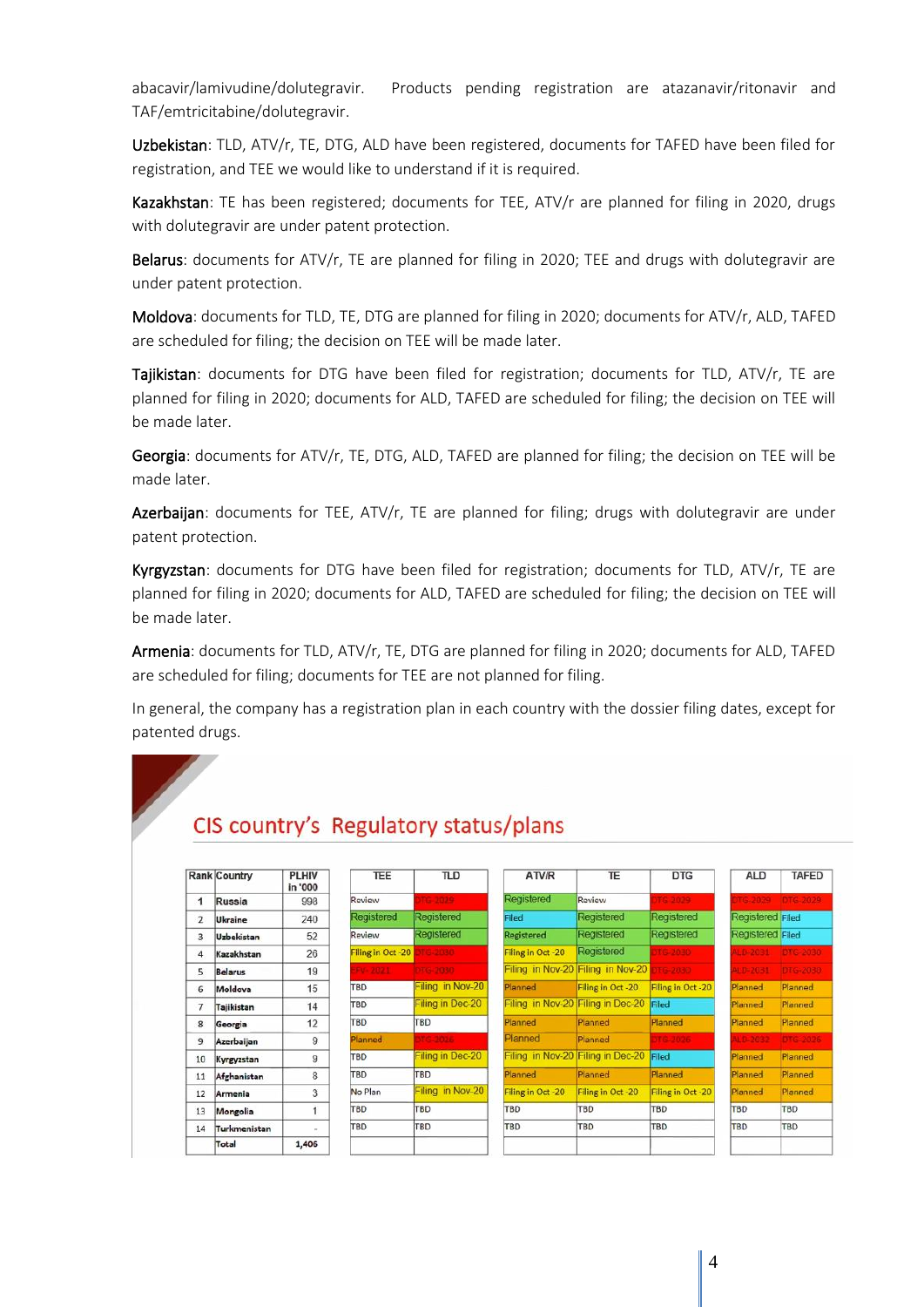abacavir/lamivudine/dolutegravir. Products pending registration are atazanavir/ritonavir and TAF/emtricitabine/dolutegravir.

Uzbekistan: TLD, ATV/r, TE, DTG, ALD have been registered, documents for TAFED have been filed for registration, and TEE we would like to understand if it is required.

Kazakhstan: TE has been registered; documents for TEE, ATV/r are planned for filing in 2020, drugs with dolutegravir are under patent protection.

Belarus: documents for ATV/r, TE are planned for filing in 2020; TEE and drugs with dolutegravir are under patent protection.

Moldova: documents for TLD, TE, DTG are planned for filing in 2020; documents for ATV/r, ALD, TAFED are scheduled for filing; the decision on TEE will be made later.

Tajikistan: documents for DTG have been filed for registration; documents for TLD, ATV/r, TE are planned for filing in 2020; documents for ALD, TAFED are scheduled for filing; the decision on TEE will be made later.

Georgia: documents for ATV/r, TE, DTG, ALD, TAFED are planned for filing; the decision on TEE will be made later.

Azerbaijan: documents for TEE, ATV/r, TE are planned for filing; drugs with dolutegravir are under patent protection.

Kyrgyzstan: documents for DTG have been filed for registration; documents for TLD, ATV/r, TE are planned for filing in 2020; documents for ALD, TAFED are scheduled for filing; the decision on TEE will be made later.

Armenia: documents for TLD, ATV/r, TE, DTG are planned for filing in 2020; documents for ALD, TAFED are scheduled for filing; documents for TEE are not planned for filing.

In general, the company has a registration plan in each country with the dossier filing dates, except for patented drugs.

## CIS country's Regulatory status/plans

|                | <b>Rank Country</b> | <b>PLHIV</b><br>in '000 | <b>TEE</b>        | <b>TLD</b>        | ATV/R                             | TE                                | <b>DTG</b>        | <b>ALD</b>       | <b>TAFED</b>     |
|----------------|---------------------|-------------------------|-------------------|-------------------|-----------------------------------|-----------------------------------|-------------------|------------------|------------------|
| 1              | Russia              | 998                     | Review            | TG 2029           | <b>Registered</b>                 | Review                            | TG-2029           | TG-2029          | <b>DTG-2029</b>  |
| $\overline{2}$ | Ukraine             | 240                     | Registered        | Registered        | Filed                             | Registered                        | Registered        | Registered Filed |                  |
| 3              | <b>Uzbekistan</b>   | 52                      | Review            | <b>Registered</b> | Registered                        | Registered                        | Registered        | Registered Filed |                  |
| 4              | Kazakhstan          | 26                      | Filing in Oct -20 | 0805-016          | Filing in Oct -20                 | Registered                        | TG-2030           |                  | LD-2031 DTG-2030 |
| 5              | <b>Belarus</b>      | 19                      | Fv 2021           | <b>DEG-2030</b>   |                                   | Filing in Nov-20 Filing in Nov-20 | <b>DTG-2030</b>   | <b>M.D.2031</b>  | DTG-2030         |
| 6              | Moldova             | 15                      | <b>TBD</b>        | Filing in Nov-20  | Planned                           | Filing in Oct -20                 | Filing in Oct -20 | Planned          | Planned          |
| 7              | Tajikistan          | 14                      | TBD               | Filing in Dec-20  | Filing in Nov-20 Filing in Dec-20 |                                   | Filed             | Planned          | Planned          |
| 8              | Georgia             | 12                      | <b>TBD</b>        | <b>TBD</b>        | Planned                           | Planned                           | Planned           | Planned          | Planned          |
| 9              | Azerbaijan          | 9                       | <b>Planned</b>    | $-3025$           | Planned                           | Planned                           | 316-2026          | $10 - 2032$      | DTG-2026         |
| 10             | Kyrgyzstan          | 9                       | <b>TBD</b>        | Filing in Dec-20  | Filing in Nov-20 Filing in Dec-20 |                                   | Filed             | Planned          | Planned          |
| 11             | Afghanistan         | 8                       | <b>TBD</b>        | <b>TBD</b>        | Planned                           | Planned                           | Planned           | Planned          | Planned          |
| 12             | Armenia             | 3                       | No Plan           | Filing in Nov-20  | Filing in Oct -20                 | Filing in Oct-20                  | Filing in Oct -20 | Planned          | Planned          |
| 13             | Mongolia            |                         | <b>TBD</b>        | <b>TBD</b>        | TBD                               | <b>TBD</b>                        | TBD               | <b>TBD</b>       | <b>TBD</b>       |
| 14             | Turkmenistan        |                         | TBD               | TBD               | TBD                               | TBD                               | TBD               | <b>TBD</b>       | TBD              |
|                | Total               | 1,406                   |                   |                   |                                   |                                   |                   |                  |                  |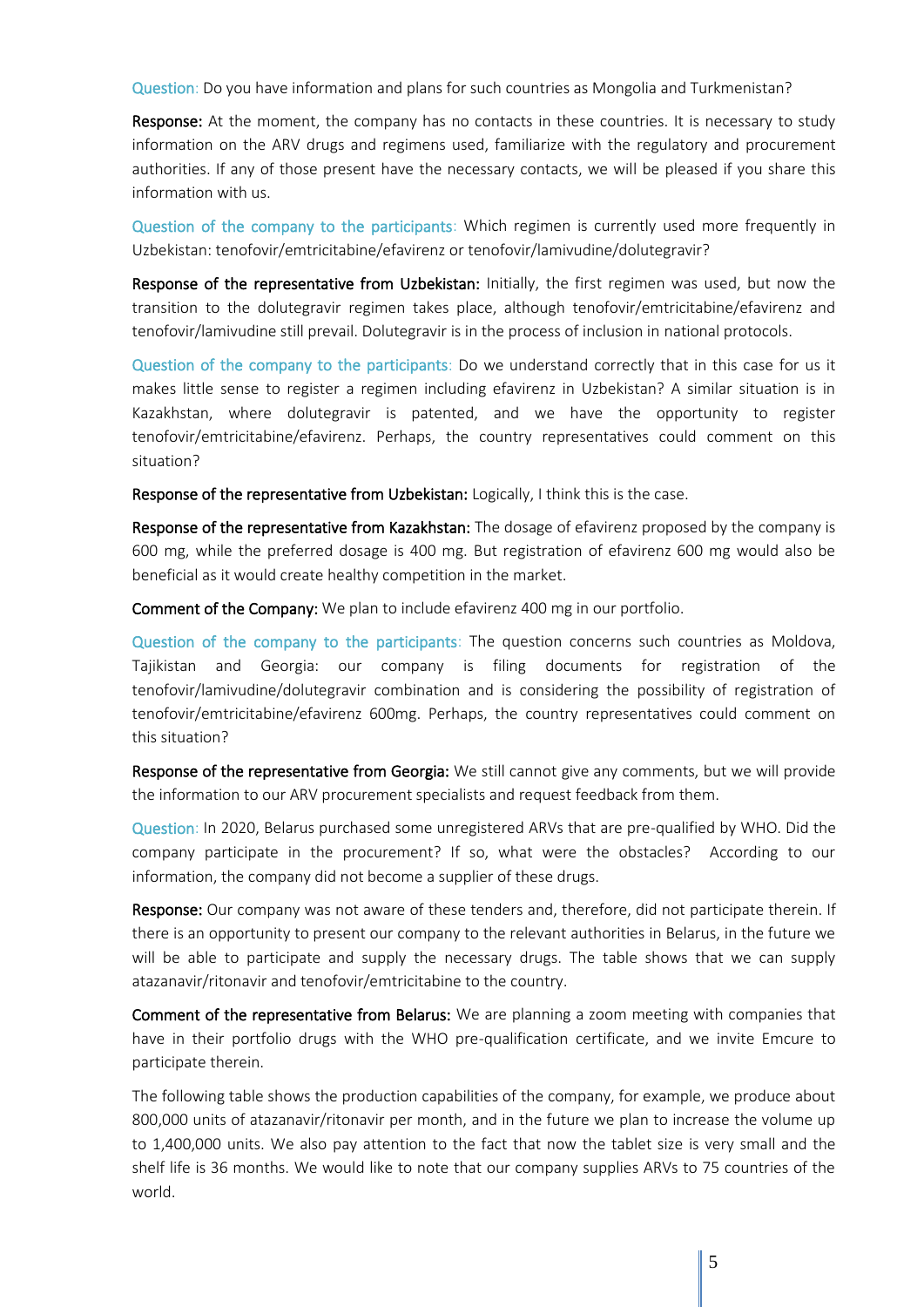Question: Do you have information and plans for such countries as Mongolia and Turkmenistan?

**Response:** At the moment, the company has no contacts in these countries. It is necessary to study information on the ARV drugs and regimens used, familiarize with the regulatory and procurement authorities. If any of those present have the necessary contacts, we will be pleased if you share this information with us.

Question of the company to the participants: Which regimen is currently used more frequently in Uzbekistan: tenofovir/emtricitabine/efavirenz or tenofovir/lamivudine/dolutegravir?

Response of the representative from Uzbekistan: Initially, the first regimen was used, but now the transition to the dolutegravir regimen takes place, although tenofovir/emtricitabine/efavirenz and tenofovir/lamivudine still prevail. Dolutegravir is in the process of inclusion in national protocols.

Question of the company to the participants: Do we understand correctly that in this case for us it makes little sense to register a regimen including efavirenz in Uzbekistan? A similar situation is in Kazakhstan, where dolutegravir is patented, and we have the opportunity to register tenofovir/emtricitabine/efavirenz. Perhaps, the country representatives could comment on this situation?

Response of the representative from Uzbekistan: Logically, I think this is the case.

Response of the representative from Kazakhstan: The dosage of efavirenz proposed by the company is 600 mg, while the preferred dosage is 400 mg. But registration of efavirenz 600 mg would also be beneficial as it would create healthy competition in the market.

Comment of the Company: We plan to include efavirenz 400 mg in our portfolio.

Question of the company to the participants: The question concerns such countries as Moldova, Tajikistan and Georgia: our company is filing documents for registration of the tenofovir/lamivudine/dolutegravir combination and is considering the possibility of registration of tenofovir/emtricitabine/efavirenz 600mg. Perhaps, the country representatives could comment on this situation?

Response of the representative from Georgia: We still cannot give any comments, but we will provide the information to our ARV procurement specialists and request feedback from them.

Question: In 2020, Belarus purchased some unregistered ARVs that are pre-qualified by WHO. Did the company participate in the procurement? If so, what were the obstacles? According to our information, the company did not become a supplier of these drugs.

Response: Our company was not aware of these tenders and, therefore, did not participate therein. If there is an opportunity to present our company to the relevant authorities in Belarus, in the future we will be able to participate and supply the necessary drugs. The table shows that we can supply atazanavir/ritonavir and tenofovir/emtricitabine to the country.

Comment of the representative from Belarus: We are planning a zoom meeting with companies that have in their portfolio drugs with the WHO pre-qualification certificate, and we invite Emcure to participate therein.

The following table shows the production capabilities of the company, for example, we produce about 800,000 units of atazanavir/ritonavir per month, and in the future we plan to increase the volume up to 1,400,000 units. We also pay attention to the fact that now the tablet size is very small and the shelf life is 36 months. We would like to note that our company supplies ARVs to 75 countries of the world.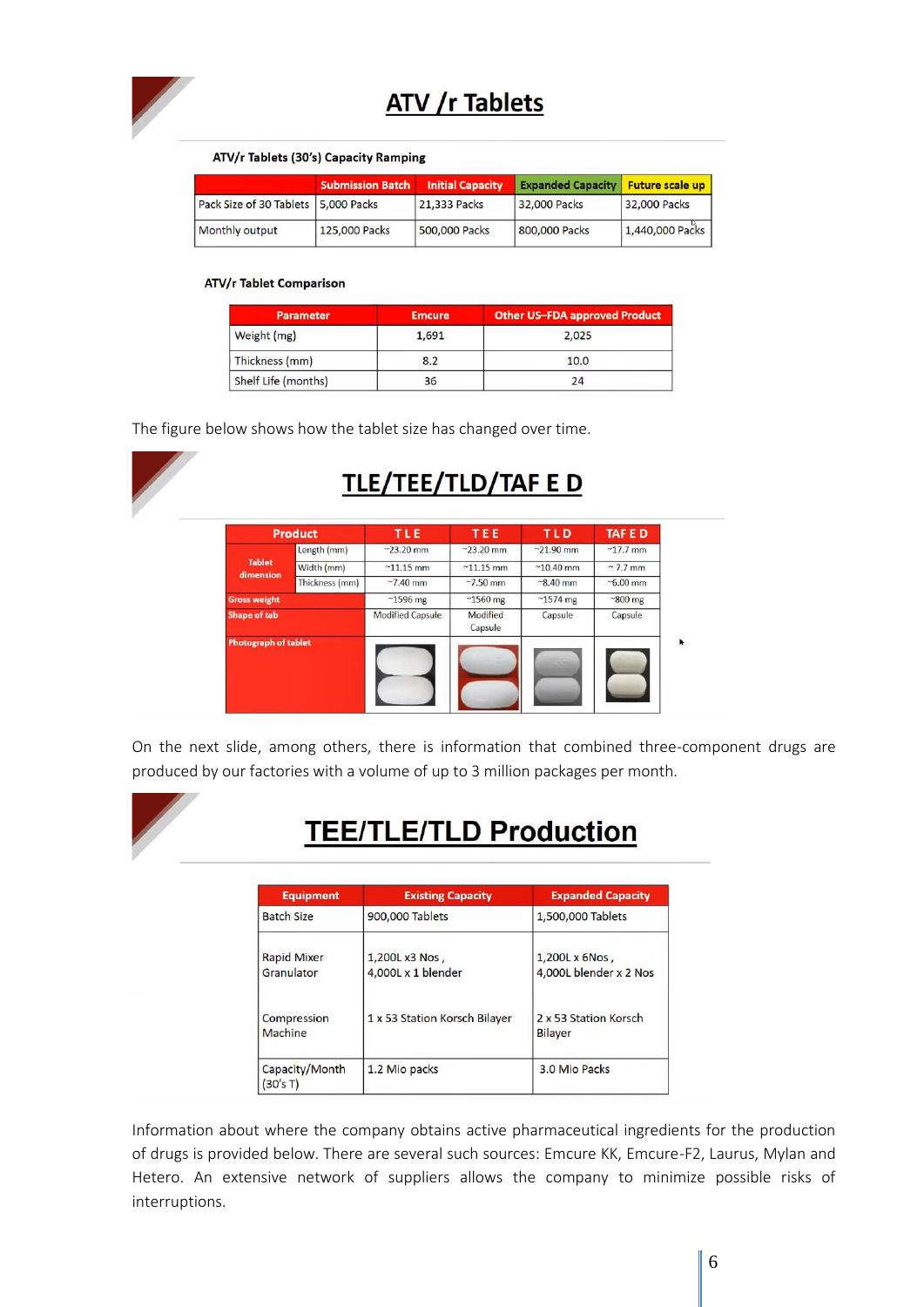

# **ATV /r Tablets**

### ATV/r Tablets (30's) Capacity Ramping

|                                     | <b>Submission Batch</b> | <b>Initial Capacity</b> | <b>Expanded Capacity</b> | <b>Future scale up</b> |
|-------------------------------------|-------------------------|-------------------------|--------------------------|------------------------|
| Pack Size of 30 Tablets 5,000 Packs |                         | 21,333 Packs            | 32,000 Packs             | 32,000 Packs           |
| Monthly output                      | 125,000 Packs           | 500,000 Packs           | 800,000 Packs            | 1,440,000 Packs        |

### **ATV/r Tablet Comparison**

| <b>Parameter</b>    | <b>Emcure</b> | <b>Other US-FDA approved Product</b> |
|---------------------|---------------|--------------------------------------|
| Weight (mg)         | 1,691         | 2.025                                |
| Thickness (mm)      | 8.2           | 10.0                                 |
| Shelf Life (months) | 36            | 24                                   |

The figure below shows how the tablet size has changed over time.



On the next slide, among others, there is information that combined three-component drugs are produced by our factories with a volume of up to 3 million packages per month.



# **TEE/TLE/TLD Production**

| <b>Equipment</b>                 | <b>Existing Capacity</b>             | <b>Expanded Capacity</b>                 |  |
|----------------------------------|--------------------------------------|------------------------------------------|--|
| <b>Batch Size</b>                | 900,000 Tablets                      | 1,500,000 Tablets                        |  |
| <b>Rapid Mixer</b><br>Granulator | 1,200L x3 Nos,<br>4,000L x 1 blender | 1,200L x 6Nos,<br>4,000L blender x 2 Nos |  |
| Compression<br>Machine           | 1 x 53 Station Korsch Bilayer        | 2 x 53 Station Korsch<br>Bilayer         |  |
| Capacity/Month<br>(30's T)       | 1.2 Mio packs                        | 3.0 Mio Packs                            |  |

Information about where the company obtains active pharmaceutical ingredients for the production of drugs is provided below. There are several such sources: Emcure KK, Emcure-F2, Laurus, Mylan and Hetero. An extensive network of suppliers allows the company to minimize possible risks of interruptions.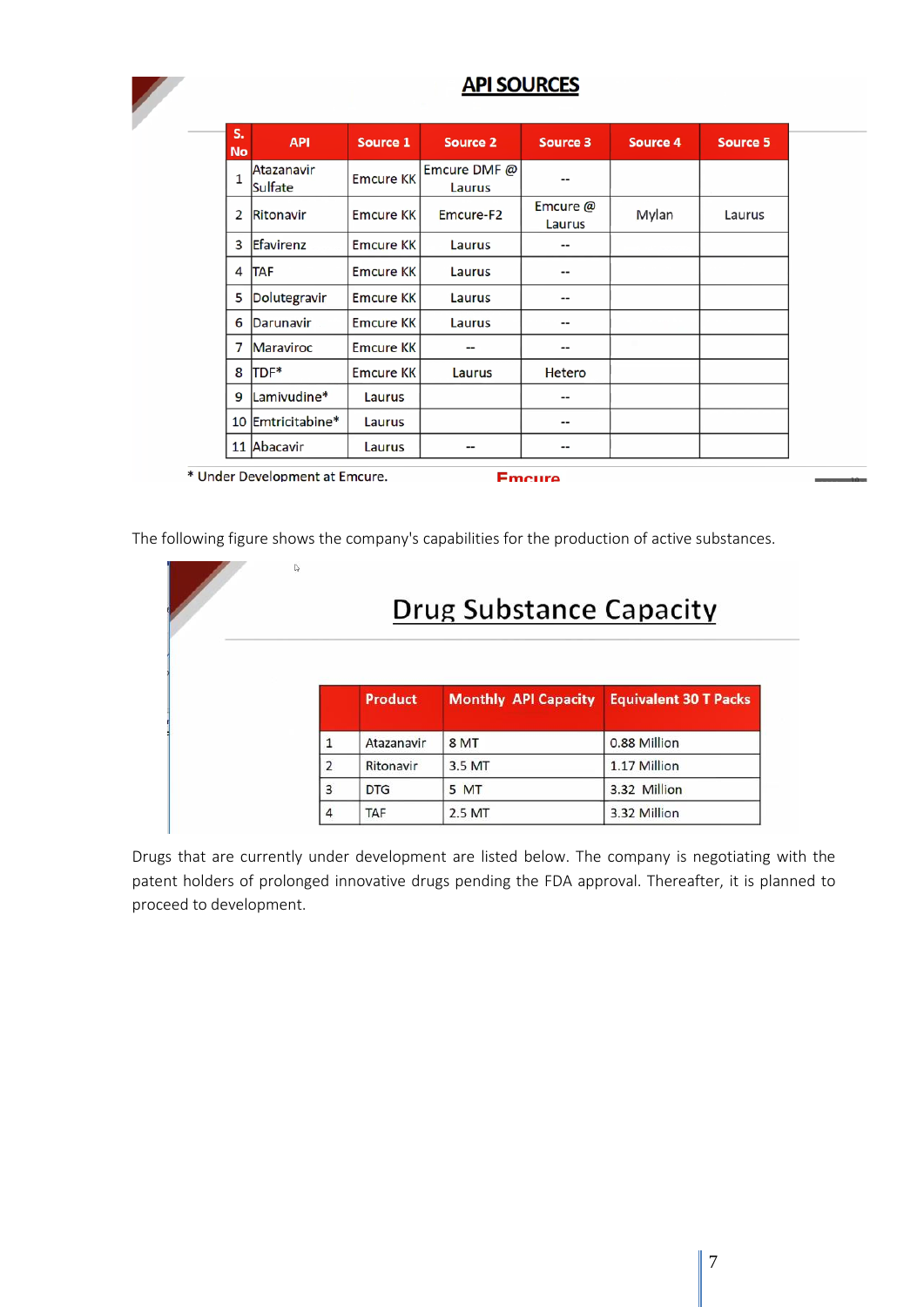

## **API SOURCES**

| s.<br>No     | <b>API</b>            | Source 1         | Source 2               | Source 3           | Source 4 | Source 5 |
|--------------|-----------------------|------------------|------------------------|--------------------|----------|----------|
| $\mathbf{1}$ | Atazanavir<br>Sulfate | <b>Emcure KK</b> | Emcure DMF @<br>Laurus | --                 |          |          |
| 2            | Ritonavir             | <b>Emcure KK</b> | Emcure-F <sub>2</sub>  | Emcure @<br>Laurus | Mylan    | Laurus   |
| 3            | Efavirenz             | <b>Emcure KK</b> | Laurus                 | --                 |          |          |
| 4            | <b>TAF</b>            | <b>Emcure KK</b> | Laurus                 | --                 |          |          |
| 5            | Dolutegravir          | <b>Emcure KK</b> | Laurus                 | --                 |          |          |
| 6            | Darunavir             | <b>Emcure KK</b> | Laurus                 | --                 |          |          |
| 7            | <b>Maraviroc</b>      | <b>Emcure KK</b> | --                     | --                 |          |          |
| 8            | TDF*                  | <b>Emcure KK</b> | Laurus                 | <b>Hetero</b>      |          |          |
| 9            | Lamivudine*           | Laurus           |                        | --                 |          |          |
|              | 10 Emtricitabine*     | Laurus           |                        | --                 |          |          |
|              | 11 Abacavir           | Laurus           | --                     | --                 |          |          |

\* Under Development at Emcure.

**Emcure** 

The following figure shows the company's capabilities for the production of active substances.

| D<br>Drug Substance Capacity |                |                             |                              |  |  |  |  |
|------------------------------|----------------|-----------------------------|------------------------------|--|--|--|--|
|                              | <b>Product</b> | <b>Monthly API Capacity</b> | <b>Equivalent 30 T Packs</b> |  |  |  |  |
|                              | Atazanavir     | 8 <sub>MT</sub>             | 0.88 Million                 |  |  |  |  |
| 2                            | Ritonavir      | 3.5 MT                      | 1.17 Million                 |  |  |  |  |
| 3                            | <b>DTG</b>     | 5 MT                        | 3.32 Million                 |  |  |  |  |
| $\overline{4}$               | <b>TAF</b>     | 2.5 MT                      | 3.32 Million                 |  |  |  |  |

Drugs that are currently under development are listed below. The company is negotiating with the patent holders of prolonged innovative drugs pending the FDA approval. Thereafter, it is planned to proceed to development.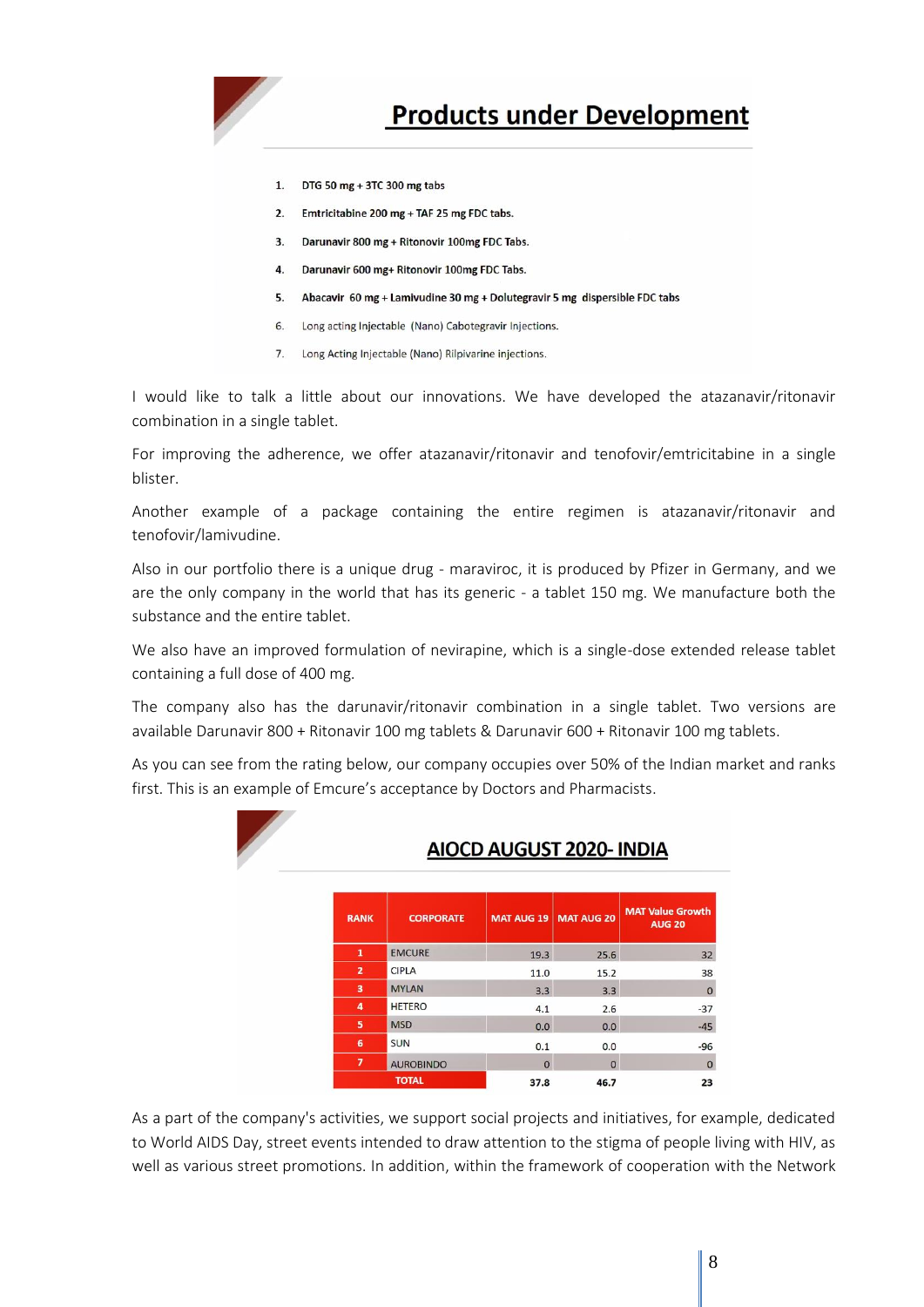

# **Products under Development**

- DTG 50 mg + 3TC 300 mg tabs  $1.$
- Emtricitabine 200 mg + TAF 25 mg FDC tabs.  $2.$
- 3. Darunavir 800 mg + Ritonovir 100mg FDC Tabs.
- Darunavir 600 mg+ Ritonovir 100mg FDC Tabs.  $\overline{4}$ .
- Abacavir 60 mg + Lamivudine 30 mg + Dolutegravir 5 mg dispersible FDC tabs 5.
- Long acting Injectable (Nano) Cabotegravir Injections. 6.
- 7. Long Acting Injectable (Nano) Rilpivarine injections.

I would like to talk a little about our innovations. We have developed the atazanavir/ritonavir combination in a single tablet.

For improving the adherence, we offer atazanavir/ritonavir and tenofovir/emtricitabine in a single blister.

Another example of a package containing the entire regimen is atazanavir/ritonavir and tenofovir/lamivudine.

Also in our portfolio there is a unique drug - maraviroc, it is produced by Pfizer in Germany, and we are the only company in the world that has its generic - a tablet 150 mg. We manufacture both the substance and the entire tablet.

We also have an improved formulation of nevirapine, which is a single-dose extended release tablet containing a full dose of 400 mg.

The company also has the darunavir/ritonavir combination in a single tablet. Two versions are available Darunavir 800 + Ritonavir 100 mg tablets & Darunavir 600 + Ritonavir 100 mg tablets.

As you can see from the rating below, our company occupies over 50% of the Indian market and ranks first. This is an example of Emcure's acceptance by Doctors and Pharmacists.

|                          | AIOCD AUGUST 2020- INDIA |          |                       |                                          |  |  |  |  |
|--------------------------|--------------------------|----------|-----------------------|------------------------------------------|--|--|--|--|
| <b>RANK</b>              | <b>CORPORATE</b>         |          | MAT AUG 19 MAT AUG 20 | <b>MAT Value Growth</b><br><b>AUG 20</b> |  |  |  |  |
| 1                        | <b>EMCURE</b>            | 19.3     | 25.6                  | 32                                       |  |  |  |  |
| $\overline{2}$           | <b>CIPLA</b>             | 11.0     | 15.2                  | 38                                       |  |  |  |  |
| 3                        | <b>MYLAN</b>             | 3.3      | 3.3                   | $\mathbf 0$                              |  |  |  |  |
| 4                        | <b>HETERO</b>            | 4.1      | 2.6                   | $-37$                                    |  |  |  |  |
| 5                        | <b>MSD</b>               | 0.0      | 0.0                   | $-45$                                    |  |  |  |  |
| 6                        | <b>SUN</b>               | 0.1      | 0.0                   | $-96$                                    |  |  |  |  |
| $\overline{\phantom{a}}$ | <b>AUROBINDO</b>         | $\Omega$ | $\Omega$              | $\Omega$                                 |  |  |  |  |
|                          | <b>TOTAL</b>             | 37.8     | 46.7                  | 23                                       |  |  |  |  |

As a part of the company's activities, we support social projects and initiatives, for example, dedicated to World AIDS Day, street events intended to draw attention to the stigma of people living with HIV, as well as various street promotions. In addition, within the framework of cooperation with the Network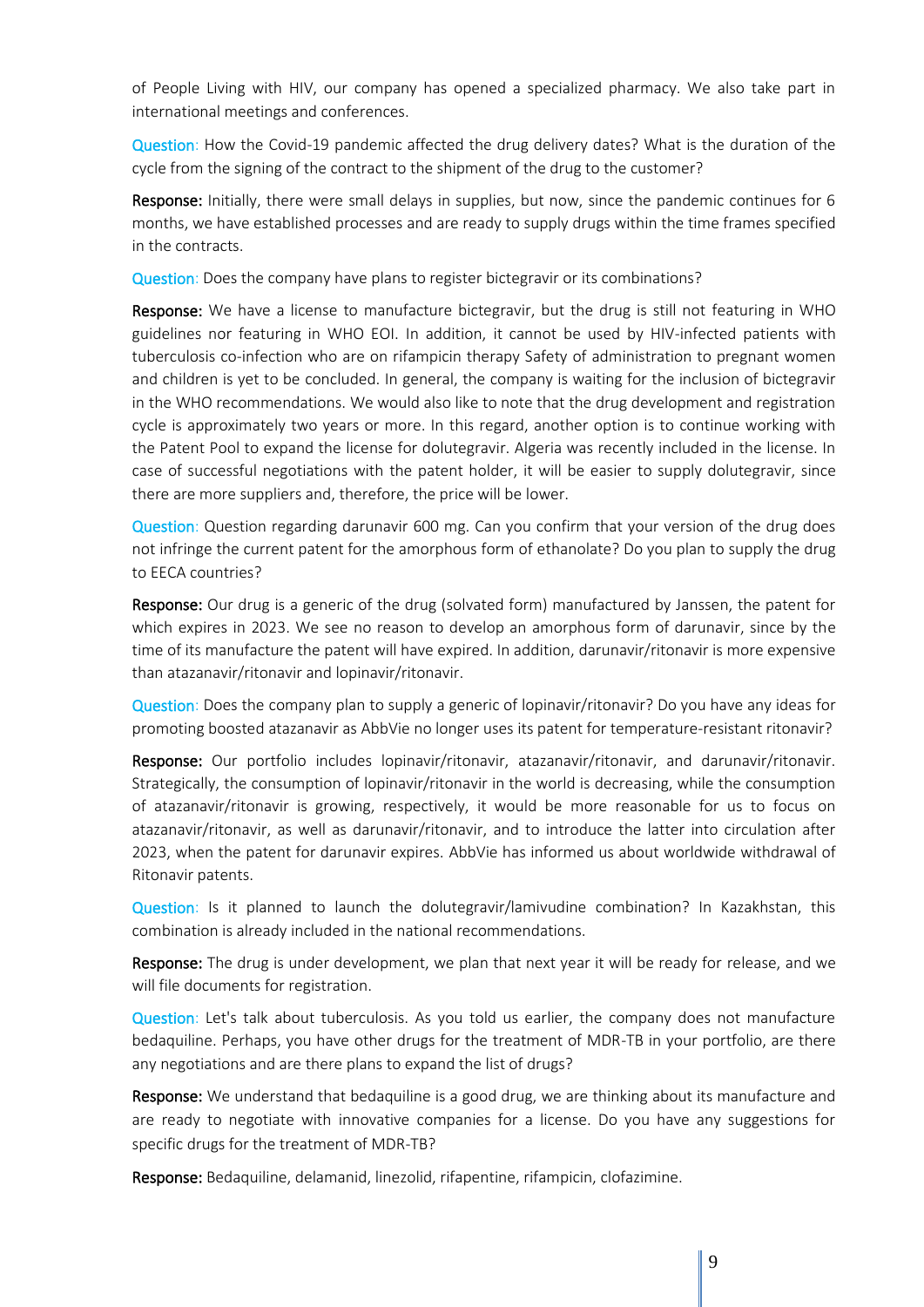of People Living with HIV, our company has opened a specialized pharmacy. We also take part in international meetings and conferences.

Question: How the Covid-19 pandemic affected the drug delivery dates? What is the duration of the cycle from the signing of the contract to the shipment of the drug to the customer?

Response: Initially, there were small delays in supplies, but now, since the pandemic continues for 6 months, we have established processes and are ready to supply drugs within the time frames specified in the contracts.

Question: Does the company have plans to register bictegravir or its combinations?

**Response:** We have a license to manufacture bictegravir, but the drug is still not featuring in WHO guidelines nor featuring in WHO EOI. In addition, it cannot be used by HIV-infected patients with tuberculosis co-infection who are on rifampicin therapy Safety of administration to pregnant women and children is yet to be concluded. In general, the company is waiting for the inclusion of bictegravir in the WHO recommendations. We would also like to note that the drug development and registration cycle is approximately two years or more. In this regard, another option is to continue working with the Patent Pool to expand the license for dolutegravir. Algeria was recently included in the license. In case of successful negotiations with the patent holder, it will be easier to supply dolutegravir, since there are more suppliers and, therefore, the price will be lower.

Question: Question regarding darunavir 600 mg. Can you confirm that your version of the drug does not infringe the current patent for the amorphous form of ethanolate? Do you plan to supply the drug to EECA countries?

Response: Our drug is a generic of the drug (solvated form) manufactured by Janssen, the patent for which expires in 2023. We see no reason to develop an amorphous form of darunavir, since by the time of its manufacture the patent will have expired. In addition, darunavir/ritonavir is more expensive than atazanavir/ritonavir and lopinavir/ritonavir.

Question: Does the company plan to supply a generic of lopinavir/ritonavir? Do you have any ideas for promoting boosted atazanavir as AbbVie no longer uses its patent for temperature-resistant ritonavir?

Response: Our portfolio includes lopinavir/ritonavir, atazanavir/ritonavir, and darunavir/ritonavir. Strategically, the consumption of lopinavir/ritonavir in the world is decreasing, while the consumption of atazanavir/ritonavir is growing, respectively, it would be more reasonable for us to focus on atazanavir/ritonavir, as well as darunavir/ritonavir, and to introduce the latter into circulation after 2023, when the patent for darunavir expires. AbbVie has informed us about worldwide withdrawal of Ritonavir patents.

Question: Is it planned to launch the dolutegravir/lamivudine combination? In Kazakhstan, this combination is already included in the national recommendations.

Response: The drug is under development, we plan that next year it will be ready for release, and we will file documents for registration.

Question: Let's talk about tuberculosis. As you told us earlier, the company does not manufacture bedaquiline. Perhaps, you have other drugs for the treatment of MDR-TB in your portfolio, are there any negotiations and are there plans to expand the list of drugs?

Response: We understand that bedaquiline is a good drug, we are thinking about its manufacture and are ready to negotiate with innovative companies for a license. Do you have any suggestions for specific drugs for the treatment of MDR-TB?

Response: Bedaquiline, delamanid, linezolid, rifapentine, rifampicin, clofazimine.